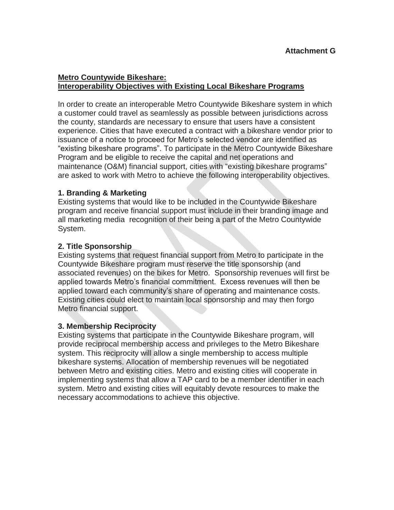## **Metro Countywide Bikeshare: Interoperability Objectives with Existing Local Bikeshare Programs**

In order to create an interoperable Metro Countywide Bikeshare system in which a customer could travel as seamlessly as possible between jurisdictions across the county, standards are necessary to ensure that users have a consistent experience. Cities that have executed a contract with a bikeshare vendor prior to issuance of a notice to proceed for Metro's selected vendor are identified as "existing bikeshare programs". To participate in the Metro Countywide Bikeshare Program and be eligible to receive the capital and net operations and maintenance (O&M) financial support, cities with "existing bikeshare programs" are asked to work with Metro to achieve the following interoperability objectives.

# **1. Branding & Marketing**

Existing systems that would like to be included in the Countywide Bikeshare program and receive financial support must include in their branding image and all marketing media recognition of their being a part of the Metro Countywide System.

### **2. Title Sponsorship**

Existing systems that request financial support from Metro to participate in the Countywide Bikeshare program must reserve the title sponsorship (and associated revenues) on the bikes for Metro. Sponsorship revenues will first be applied towards Metro's financial commitment. Excess revenues will then be applied toward each community's share of operating and maintenance costs. Existing cities could elect to maintain local sponsorship and may then forgo Metro financial support.

### **3. Membership Reciprocity**

Existing systems that participate in the Countywide Bikeshare program, will provide reciprocal membership access and privileges to the Metro Bikeshare system. This reciprocity will allow a single membership to access multiple bikeshare systems. Allocation of membership revenues will be negotiated between Metro and existing cities. Metro and existing cities will cooperate in implementing systems that allow a TAP card to be a member identifier in each system. Metro and existing cities will equitably devote resources to make the necessary accommodations to achieve this objective.